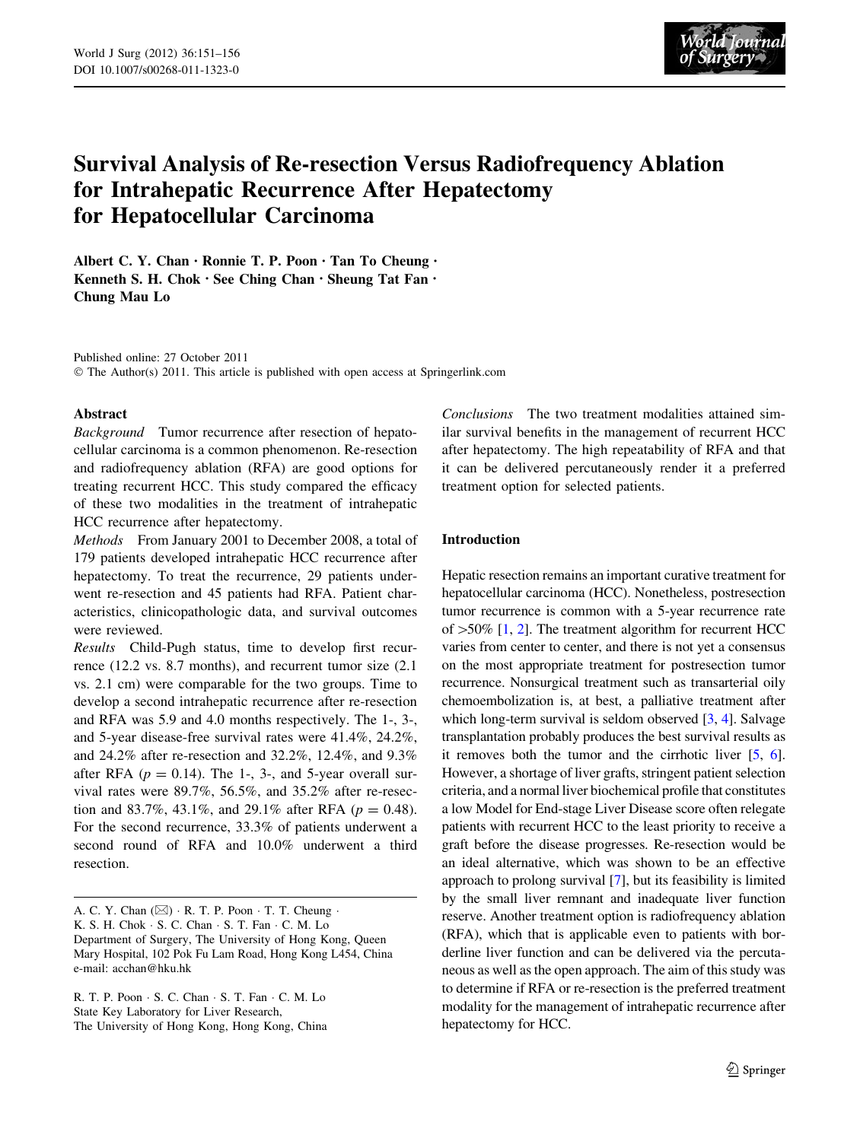

# Survival Analysis of Re-resection Versus Radiofrequency Ablation for Intrahepatic Recurrence After Hepatectomy for Hepatocellular Carcinoma

Albert C. Y. Chan • Ronnie T. P. Poon • Tan To Cheung • Kenneth S. H. Chok • See Ching Chan • Sheung Tat Fan • Chung Mau Lo

Published online: 27 October 2011 © The Author(s) 2011. This article is published with open access at Springerlink.com

#### Abstract

Background Tumor recurrence after resection of hepatocellular carcinoma is a common phenomenon. Re-resection and radiofrequency ablation (RFA) are good options for treating recurrent HCC. This study compared the efficacy of these two modalities in the treatment of intrahepatic HCC recurrence after hepatectomy.

Methods From January 2001 to December 2008, a total of 179 patients developed intrahepatic HCC recurrence after hepatectomy. To treat the recurrence, 29 patients underwent re-resection and 45 patients had RFA. Patient characteristics, clinicopathologic data, and survival outcomes were reviewed.

Results Child-Pugh status, time to develop first recurrence (12.2 vs. 8.7 months), and recurrent tumor size (2.1 vs. 2.1 cm) were comparable for the two groups. Time to develop a second intrahepatic recurrence after re-resection and RFA was 5.9 and 4.0 months respectively. The 1-, 3-, and 5-year disease-free survival rates were 41.4%, 24.2%, and 24.2% after re-resection and 32.2%, 12.4%, and 9.3% after RFA ( $p = 0.14$ ). The 1-, 3-, and 5-year overall survival rates were 89.7%, 56.5%, and 35.2% after re-resection and 83.7%, 43.1%, and 29.1% after RFA ( $p = 0.48$ ). For the second recurrence, 33.3% of patients underwent a second round of RFA and 10.0% underwent a third resection.

A. C. Y. Chan  $(\boxtimes) \cdot R$ . T. P. Poon  $\cdot$  T. T. Cheung  $\cdot$ K. S. H. Chok - S. C. Chan - S. T. Fan - C. M. Lo Department of Surgery, The University of Hong Kong, Queen Mary Hospital, 102 Pok Fu Lam Road, Hong Kong L454, China e-mail: acchan@hku.hk

R. T. P. Poon - S. C. Chan - S. T. Fan - C. M. Lo State Key Laboratory for Liver Research, The University of Hong Kong, Hong Kong, China

Conclusions The two treatment modalities attained similar survival benefits in the management of recurrent HCC after hepatectomy. The high repeatability of RFA and that it can be delivered percutaneously render it a preferred treatment option for selected patients.

#### Introduction

Hepatic resection remains an important curative treatment for hepatocellular carcinoma (HCC). Nonetheless, postresection tumor recurrence is common with a 5-year recurrence rate of  $>50\%$  [\[1,](#page-5-0) [2](#page-5-0)]. The treatment algorithm for recurrent HCC varies from center to center, and there is not yet a consensus on the most appropriate treatment for postresection tumor recurrence. Nonsurgical treatment such as transarterial oily chemoembolization is, at best, a palliative treatment after which long-term survival is seldom observed [[3,](#page-5-0) [4\]](#page-5-0). Salvage transplantation probably produces the best survival results as it removes both the tumor and the cirrhotic liver [[5](#page-5-0), [6\]](#page-5-0). However, a shortage of liver grafts, stringent patient selection criteria, and a normal liver biochemical profile that constitutes a low Model for End-stage Liver Disease score often relegate patients with recurrent HCC to the least priority to receive a graft before the disease progresses. Re-resection would be an ideal alternative, which was shown to be an effective approach to prolong survival [\[7](#page-5-0)], but its feasibility is limited by the small liver remnant and inadequate liver function reserve. Another treatment option is radiofrequency ablation (RFA), which that is applicable even to patients with borderline liver function and can be delivered via the percutaneous as well as the open approach. The aim of this study was to determine if RFA or re-resection is the preferred treatment modality for the management of intrahepatic recurrence after hepatectomy for HCC.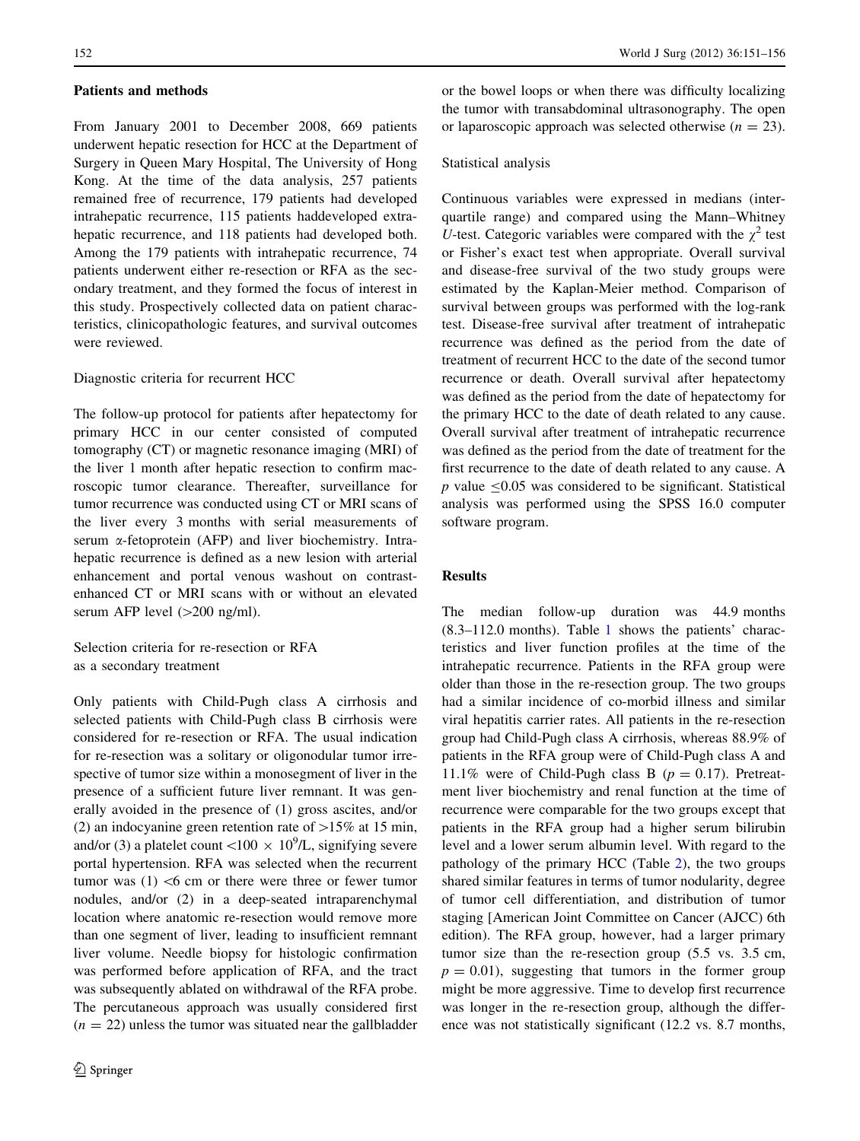#### Patients and methods

From January 2001 to December 2008, 669 patients underwent hepatic resection for HCC at the Department of Surgery in Queen Mary Hospital, The University of Hong Kong. At the time of the data analysis, 257 patients remained free of recurrence, 179 patients had developed intrahepatic recurrence, 115 patients haddeveloped extrahepatic recurrence, and 118 patients had developed both. Among the 179 patients with intrahepatic recurrence, 74 patients underwent either re-resection or RFA as the secondary treatment, and they formed the focus of interest in this study. Prospectively collected data on patient characteristics, clinicopathologic features, and survival outcomes were reviewed.

# Diagnostic criteria for recurrent HCC

The follow-up protocol for patients after hepatectomy for primary HCC in our center consisted of computed tomography (CT) or magnetic resonance imaging (MRI) of the liver 1 month after hepatic resection to confirm macroscopic tumor clearance. Thereafter, surveillance for tumor recurrence was conducted using CT or MRI scans of the liver every 3 months with serial measurements of serum a-fetoprotein (AFP) and liver biochemistry. Intrahepatic recurrence is defined as a new lesion with arterial enhancement and portal venous washout on contrastenhanced CT or MRI scans with or without an elevated serum AFP level  $(>200$  ng/ml).

Selection criteria for re-resection or RFA as a secondary treatment

Only patients with Child-Pugh class A cirrhosis and selected patients with Child-Pugh class B cirrhosis were considered for re-resection or RFA. The usual indication for re-resection was a solitary or oligonodular tumor irrespective of tumor size within a monosegment of liver in the presence of a sufficient future liver remnant. It was generally avoided in the presence of (1) gross ascites, and/or (2) an indocyanine green retention rate of  $>15\%$  at 15 min, and/or (3) a platelet count <100  $\times$  10<sup>9</sup>/L, signifying severe portal hypertension. RFA was selected when the recurrent tumor was  $(1)$  <6 cm or there were three or fewer tumor nodules, and/or (2) in a deep-seated intraparenchymal location where anatomic re-resection would remove more than one segment of liver, leading to insufficient remnant liver volume. Needle biopsy for histologic confirmation was performed before application of RFA, and the tract was subsequently ablated on withdrawal of the RFA probe. The percutaneous approach was usually considered first  $(n = 22)$  unless the tumor was situated near the gallbladder or the bowel loops or when there was difficulty localizing the tumor with transabdominal ultrasonography. The open or laparoscopic approach was selected otherwise ( $n = 23$ ).

# Statistical analysis

Continuous variables were expressed in medians (interquartile range) and compared using the Mann–Whitney U-test. Categoric variables were compared with the  $\chi^2$  test or Fisher's exact test when appropriate. Overall survival and disease-free survival of the two study groups were estimated by the Kaplan-Meier method. Comparison of survival between groups was performed with the log-rank test. Disease-free survival after treatment of intrahepatic recurrence was defined as the period from the date of treatment of recurrent HCC to the date of the second tumor recurrence or death. Overall survival after hepatectomy was defined as the period from the date of hepatectomy for the primary HCC to the date of death related to any cause. Overall survival after treatment of intrahepatic recurrence was defined as the period from the date of treatment for the first recurrence to the date of death related to any cause. A  $p$  value  $\leq 0.05$  was considered to be significant. Statistical analysis was performed using the SPSS 16.0 computer software program.

# Results

The median follow-up duration was 44.9 months (8.3–112.0 months). Table [1](#page-2-0) shows the patients' characteristics and liver function profiles at the time of the intrahepatic recurrence. Patients in the RFA group were older than those in the re-resection group. The two groups had a similar incidence of co-morbid illness and similar viral hepatitis carrier rates. All patients in the re-resection group had Child-Pugh class A cirrhosis, whereas 88.9% of patients in the RFA group were of Child-Pugh class A and 11.1% were of Child-Pugh class B ( $p = 0.17$ ). Pretreatment liver biochemistry and renal function at the time of recurrence were comparable for the two groups except that patients in the RFA group had a higher serum bilirubin level and a lower serum albumin level. With regard to the pathology of the primary HCC (Table [2\)](#page-2-0), the two groups shared similar features in terms of tumor nodularity, degree of tumor cell differentiation, and distribution of tumor staging [American Joint Committee on Cancer (AJCC) 6th edition). The RFA group, however, had a larger primary tumor size than the re-resection group (5.5 vs. 3.5 cm,  $p = 0.01$ , suggesting that tumors in the former group might be more aggressive. Time to develop first recurrence was longer in the re-resection group, although the difference was not statistically significant (12.2 vs. 8.7 months,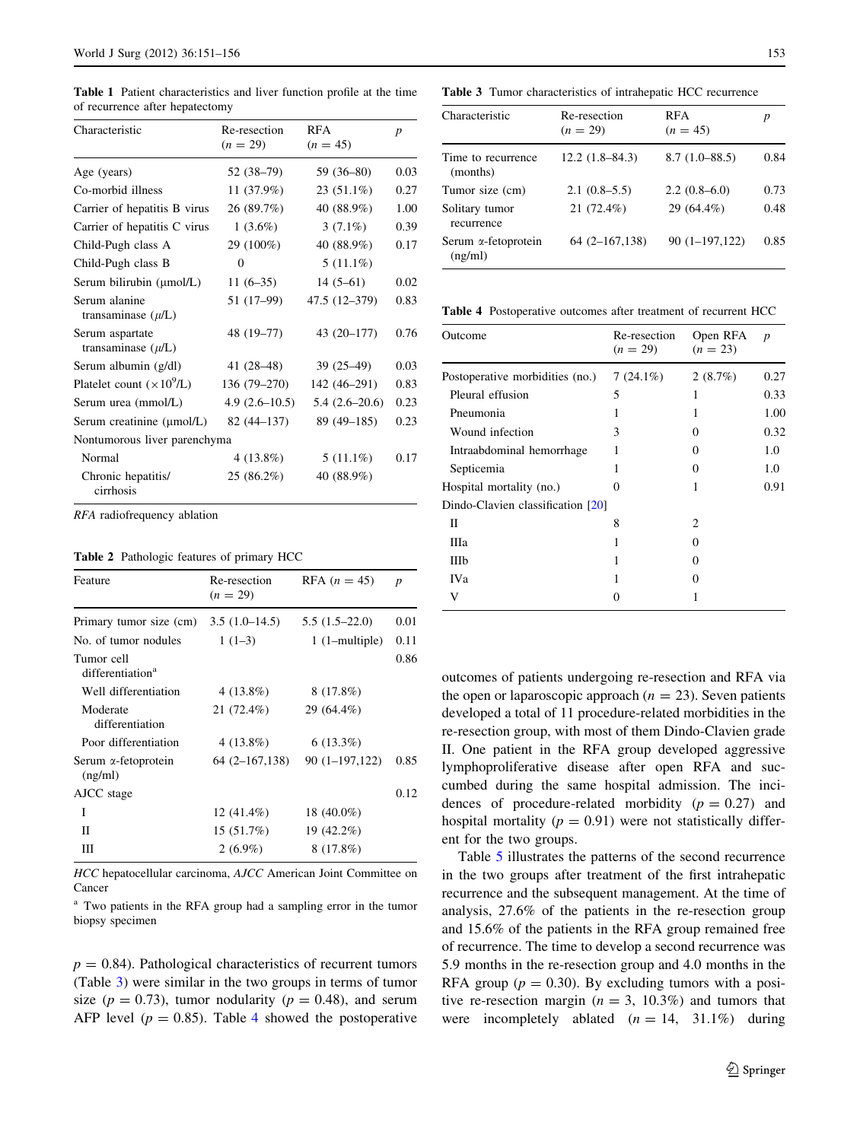<span id="page-2-0"></span>Table 1 Patient characteristics and liver function profile at the time of recurrence after hepatectomy

| Characteristic                            | Re-resection<br>$(n = 29)$ | <b>RFA</b><br>$(n = 45)$ | $\boldsymbol{p}$ |
|-------------------------------------------|----------------------------|--------------------------|------------------|
| Age (years)                               | 52 (38–79)                 | 59 (36-80)               | 0.03             |
| Co-morbid illness                         | 11 (37.9%)                 | $23(51.1\%)$             | 0.27             |
| Carrier of hepatitis B virus              | 26 (89.7%)                 | 40 (88.9%)               | 1.00             |
| Carrier of hepatitis C virus              | $1(3.6\%)$                 | $3(7.1\%)$               | 0.39             |
| Child-Pugh class A                        | 29 (100%)                  | 40 (88.9%)               | 0.17             |
| Child-Pugh class B                        | $\theta$                   | $5(11.1\%)$              |                  |
| Serum bilirubin (µmol/L)                  | $11(6-35)$                 | $14(5-61)$               | 0.02             |
| Serum alanine<br>transaminase $(\mu/L)$   | 51 (17–99)                 | 47.5 (12-379)            | 0.83             |
| Serum aspartate<br>transaminase $(\mu/L)$ | 48 (19-77)                 | 43 (20-177)              | 0.76             |
| Serum albumin (g/dl)                      | 41 (28–48)                 | $39(25-49)$              | 0.03             |
| Platelet count $(\times 10^9$ /L)         | $136(79-270)$              | 142 (46-291)             | 0.83             |
| Serum urea (mmol/L)                       | $4.9(2.6-10.5)$            | $5.4(2.6-20.6)$          | 0.23             |
| Serum creatinine (µmol/L)                 | $82(44-137)$               | 89 (49–185)              | 0.23             |
| Nontumorous liver parenchyma              |                            |                          |                  |
| Normal                                    | $4(13.8\%)$                | $5(11.1\%)$              | 0.17             |
| Chronic hepatitis/<br>cirrhosis           | 25 (86.2%)                 | 40 (88.9%)               |                  |

RFA radiofrequency ablation

Table 2 Pathologic features of primary HCC

| Feature                                    | Re-resection<br>$(n = 29)$ | RFA $(n = 45)$   | $\boldsymbol{p}$ |
|--------------------------------------------|----------------------------|------------------|------------------|
| Primary tumor size (cm)                    | $3.5(1.0-14.5)$            | $5.5(1.5-22.0)$  | 0.01             |
| No. of tumor nodules                       | $1(1-3)$                   | $1$ (1-multiple) | 0.11             |
| Tumor cell<br>differentiation <sup>a</sup> |                            |                  | 0.86             |
| Well differentiation                       | $4(13.8\%)$                | $8(17.8\%)$      |                  |
| Moderate<br>differentiation                | 21 (72.4%)                 | 29 (64.4%)       |                  |
| Poor differentiation                       | $4(13.8\%)$                | $6(13.3\%)$      |                  |
| Serum $\alpha$ -fetoprotein<br>(ng/ml)     | $64(2-167,138)$            | $90(1-197,122)$  | 0.85             |
| AJCC stage                                 |                            |                  | 0.12             |
| I                                          | 12 $(41.4\%)$              | 18 $(40.0\%)$    |                  |
| П                                          | 15(51.7%)                  | $19(42.2\%)$     |                  |
| Ш                                          | $2(6.9\%)$                 | $8(17.8\%)$      |                  |

HCC hepatocellular carcinoma, AJCC American Joint Committee on Cancer

<sup>a</sup> Two patients in the RFA group had a sampling error in the tumor biopsy specimen

 $p = 0.84$ ). Pathological characteristics of recurrent tumors (Table 3) were similar in the two groups in terms of tumor size ( $p = 0.73$ ), tumor nodularity ( $p = 0.48$ ), and serum AFP level ( $p = 0.85$ ). Table 4 showed the postoperative

Table 3 Tumor characteristics of intrahepatic HCC recurrence

| Characteristic                         | Re-resection<br>$(n = 29)$ | <b>RFA</b><br>$(n = 45)$ | p    |
|----------------------------------------|----------------------------|--------------------------|------|
| Time to recurrence<br>(months)         | $12.2(1.8-84.3)$           | $8.7(1.0 - 88.5)$        | 0.84 |
| Tumor size (cm)                        | $2.1(0.8-5.5)$             | $2.2(0.8-6.0)$           | 0.73 |
| Solitary tumor<br>recurrence           | $21(72.4\%)$               | 29 (64.4%)               | 0.48 |
| Serum <i>a</i> -fetoprotein<br>(ng/ml) | $64(2 - 167, 138)$         | $90(1-197,122)$          | 0.85 |

Table 4 Postoperative outcomes after treatment of recurrent HCC

| Outcome                           | Re-resection<br>$(n = 29)$ | Open RFA<br>$(n = 23)$ | $\boldsymbol{p}$ |
|-----------------------------------|----------------------------|------------------------|------------------|
| Postoperative morbidities (no.)   | $7(24.1\%)$                | 2(8.7%)                | 0.27             |
| Pleural effusion                  | 5                          |                        | 0.33             |
| Pneumonia                         |                            | 1                      | 1.00             |
| Wound infection                   | 3                          | $\theta$               | 0.32             |
| Intraabdominal hemorrhage         | 1                          | $\theta$               | 1.0              |
| Septicemia                        | 1                          | $\theta$               | 1.0              |
| Hospital mortality (no.)          | $\theta$                   |                        | 0.91             |
| Dindo-Clavien classification [20] |                            |                        |                  |
| П                                 | 8                          | 2                      |                  |
| Ша                                |                            | $\mathbf{\Omega}$      |                  |
| Шb                                |                            | $\theta$               |                  |
| IV <sub>a</sub>                   |                            |                        |                  |
| v                                 | 0                          |                        |                  |
|                                   |                            |                        |                  |

outcomes of patients undergoing re-resection and RFA via the open or laparoscopic approach ( $n = 23$ ). Seven patients developed a total of 11 procedure-related morbidities in the re-resection group, with most of them Dindo-Clavien grade II. One patient in the RFA group developed aggressive lymphoproliferative disease after open RFA and succumbed during the same hospital admission. The incidences of procedure-related morbidity  $(p = 0.27)$  and hospital mortality ( $p = 0.91$ ) were not statistically different for the two groups.

Table [5](#page-3-0) illustrates the patterns of the second recurrence in the two groups after treatment of the first intrahepatic recurrence and the subsequent management. At the time of analysis, 27.6% of the patients in the re-resection group and 15.6% of the patients in the RFA group remained free of recurrence. The time to develop a second recurrence was 5.9 months in the re-resection group and 4.0 months in the RFA group ( $p = 0.30$ ). By excluding tumors with a positive re-resection margin ( $n = 3$ , 10.3%) and tumors that were incompletely ablated  $(n = 14, 31.1\%)$  during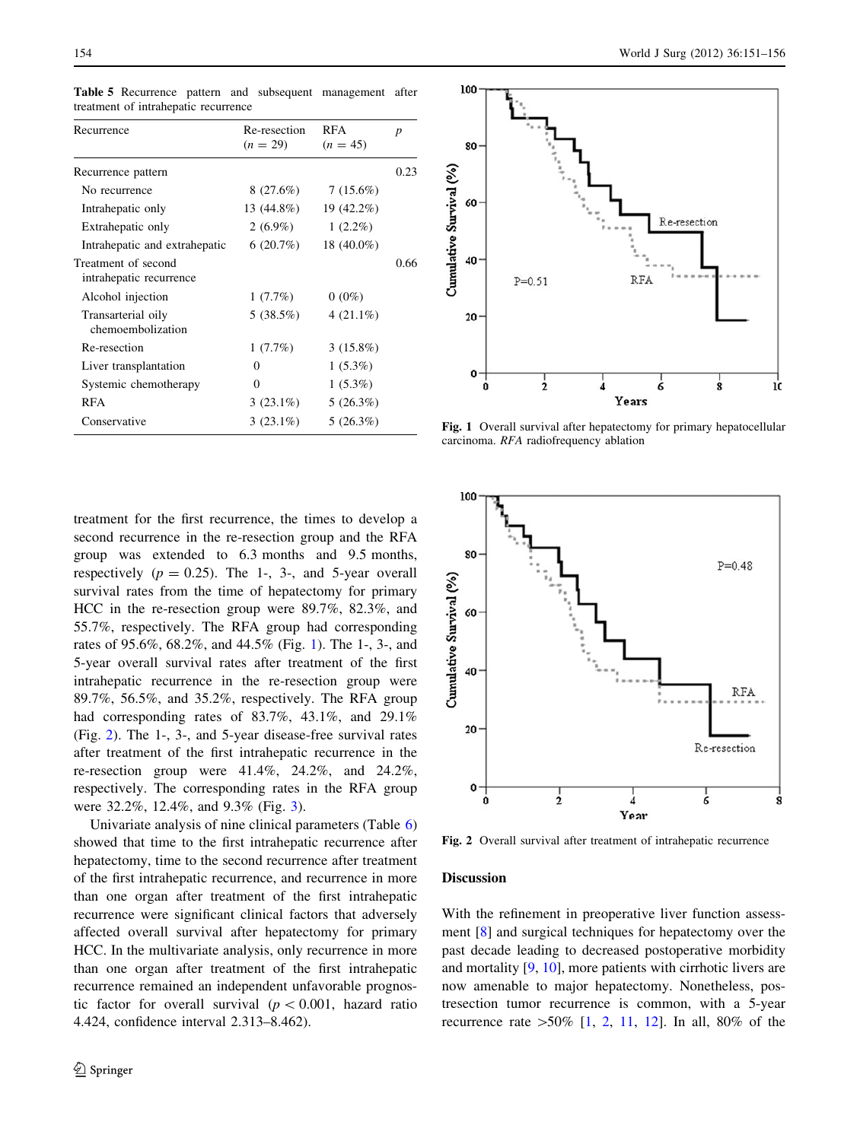| Recurrence                                     | Re-resection<br>$(n = 29)$ | <b>RFA</b><br>$(n = 45)$ | $\boldsymbol{p}$ |
|------------------------------------------------|----------------------------|--------------------------|------------------|
| Recurrence pattern                             |                            |                          | 0.23             |
| No recurrence                                  | 8(27.6%)                   | 7(15.6%)                 |                  |
| Intrahepatic only                              | 13 (44.8%)                 | 19 (42.2%)               |                  |
| Extrahepatic only                              | $2(6.9\%)$                 | $1(2.2\%)$               |                  |
| Intrahepatic and extrahepatic                  | 6(20.7%)                   | 18 (40.0%)               |                  |
| Treatment of second<br>intrahepatic recurrence |                            |                          | 0.66             |
| Alcohol injection                              | 1(7.7%)                    | $0(0\%)$                 |                  |
| Transarterial oily<br>chemoembolization        | 5(38.5%)                   | $4(21.1\%)$              |                  |
| Re-resection                                   | 1(7.7%)                    | $3(15.8\%)$              |                  |
| Liver transplantation                          | 0                          | $1(5.3\%)$               |                  |
| Systemic chemotherapy                          | 0                          | $1(5.3\%)$               |                  |
| RFA                                            | $3(23.1\%)$                | 5(26.3%)                 |                  |
| Conservative                                   | $3(23.1\%)$                | 5(26.3%)                 |                  |

<span id="page-3-0"></span>Table 5 Recurrence pattern and subsequent management after treatment of intrahepatic recurrence

treatment for the first recurrence, the times to develop a second recurrence in the re-resection group and the RFA group was extended to 6.3 months and 9.5 months, respectively  $(p = 0.25)$ . The 1-, 3-, and 5-year overall survival rates from the time of hepatectomy for primary HCC in the re-resection group were 89.7%, 82.3%, and 55.7%, respectively. The RFA group had corresponding rates of 95.6%, 68.2%, and 44.5% (Fig. 1). The 1-, 3-, and 5-year overall survival rates after treatment of the first intrahepatic recurrence in the re-resection group were 89.7%, 56.5%, and 35.2%, respectively. The RFA group had corresponding rates of 83.7%, 43.1%, and 29.1% (Fig. 2). The 1-, 3-, and 5-year disease-free survival rates after treatment of the first intrahepatic recurrence in the re-resection group were 41.4%, 24.2%, and 24.2%, respectively. The corresponding rates in the RFA group were 32.2%, 12.4%, and 9.3% (Fig. [3](#page-4-0)).

Univariate analysis of nine clinical parameters (Table [6\)](#page-4-0) showed that time to the first intrahepatic recurrence after hepatectomy, time to the second recurrence after treatment of the first intrahepatic recurrence, and recurrence in more than one organ after treatment of the first intrahepatic recurrence were significant clinical factors that adversely affected overall survival after hepatectomy for primary HCC. In the multivariate analysis, only recurrence in more than one organ after treatment of the first intrahepatic recurrence remained an independent unfavorable prognostic factor for overall survival ( $p < 0.001$ , hazard ratio 4.424, confidence interval 2.313–8.462).



Fig. 1 Overall survival after hepatectomy for primary hepatocellular carcinoma. RFA radiofrequency ablation



Fig. 2 Overall survival after treatment of intrahepatic recurrence

#### **Discussion**

With the refinement in preoperative liver function assessment [[8\]](#page-5-0) and surgical techniques for hepatectomy over the past decade leading to decreased postoperative morbidity and mortality [[9,](#page-5-0) [10\]](#page-5-0), more patients with cirrhotic livers are now amenable to major hepatectomy. Nonetheless, postresection tumor recurrence is common, with a 5-year recurrence rate  $>50\%$  [\[1](#page-5-0), [2](#page-5-0), [11](#page-5-0), [12](#page-5-0)]. In all, 80% of the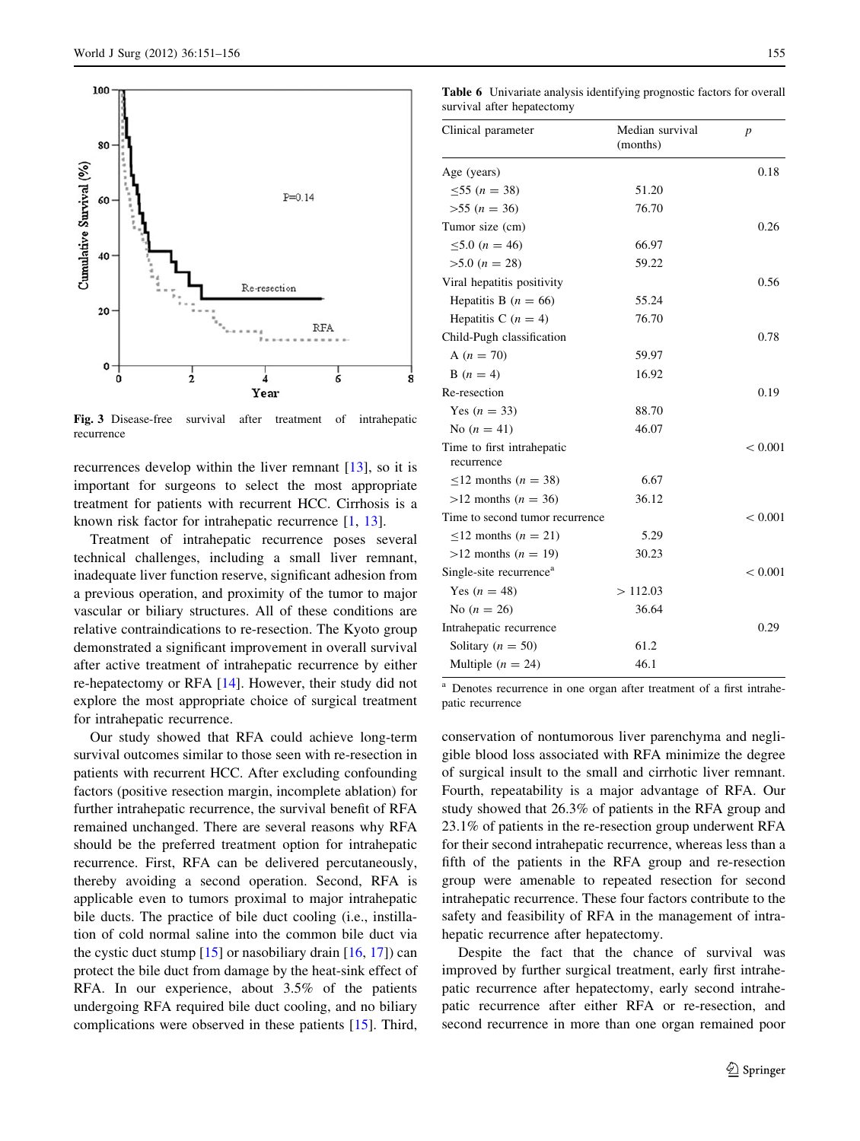<span id="page-4-0"></span>

Fig. 3 Disease-free survival after treatment of intrahepatic recurrence

recurrences develop within the liver remnant [[13\]](#page-5-0), so it is important for surgeons to select the most appropriate treatment for patients with recurrent HCC. Cirrhosis is a known risk factor for intrahepatic recurrence [\[1](#page-5-0), [13\]](#page-5-0).

Treatment of intrahepatic recurrence poses several technical challenges, including a small liver remnant, inadequate liver function reserve, significant adhesion from a previous operation, and proximity of the tumor to major vascular or biliary structures. All of these conditions are relative contraindications to re-resection. The Kyoto group demonstrated a significant improvement in overall survival after active treatment of intrahepatic recurrence by either re-hepatectomy or RFA [\[14](#page-5-0)]. However, their study did not explore the most appropriate choice of surgical treatment for intrahepatic recurrence.

Our study showed that RFA could achieve long-term survival outcomes similar to those seen with re-resection in patients with recurrent HCC. After excluding confounding factors (positive resection margin, incomplete ablation) for further intrahepatic recurrence, the survival benefit of RFA remained unchanged. There are several reasons why RFA should be the preferred treatment option for intrahepatic recurrence. First, RFA can be delivered percutaneously, thereby avoiding a second operation. Second, RFA is applicable even to tumors proximal to major intrahepatic bile ducts. The practice of bile duct cooling (i.e., instillation of cold normal saline into the common bile duct via the cystic duct stump  $[15]$  $[15]$  or nasobiliary drain  $[16, 17]$  $[16, 17]$  $[16, 17]$  $[16, 17]$ ) can protect the bile duct from damage by the heat-sink effect of RFA. In our experience, about 3.5% of the patients undergoing RFA required bile duct cooling, and no biliary complications were observed in these patients [\[15](#page-5-0)]. Third,

Table 6 Univariate analysis identifying prognostic factors for overall survival after hepatectomy

| Clinical parameter                       | Median survival<br>(months) | $\boldsymbol{p}$ |
|------------------------------------------|-----------------------------|------------------|
| Age (years)                              |                             | 0.18             |
| $\leq 55$ (n = 38)                       | 51.20                       |                  |
| $>55 (n = 36)$                           | 76.70                       |                  |
| Tumor size (cm)                          |                             | 0.26             |
| $\leq 5.0$ (n = 46)                      | 66.97                       |                  |
| $>5.0 (n = 28)$                          | 59.22                       |                  |
| Viral hepatitis positivity               |                             | 0.56             |
| Hepatitis B $(n = 66)$                   | 55.24                       |                  |
| Hepatitis C $(n = 4)$                    | 76.70                       |                  |
| Child-Pugh classification                |                             | 0.78             |
| A $(n = 70)$                             | 59.97                       |                  |
| $B(n = 4)$                               | 16.92                       |                  |
| Re-resection                             |                             | 0.19             |
| Yes $(n = 33)$                           | 88.70                       |                  |
| No $(n = 41)$                            | 46.07                       |                  |
| Time to first intrahepatic<br>recurrence |                             | < 0.001          |
| $\leq$ 12 months ( <i>n</i> = 38)        | 6.67                        |                  |
| $>12$ months ( $n = 36$ )                | 36.12                       |                  |
| Time to second tumor recurrence          |                             | < 0.001          |
| $\leq$ 12 months ( <i>n</i> = 21)        | 5.29                        |                  |
| $>12$ months $(n = 19)$                  | 30.23                       |                  |
| Single-site recurrence <sup>a</sup>      |                             | < 0.001          |
| Yes $(n = 48)$                           | >112.03                     |                  |
| No $(n = 26)$                            | 36.64                       |                  |
| Intrahepatic recurrence                  |                             | 0.29             |
| Solitary ( $n = 50$ )                    | 61.2                        |                  |
| Multiple $(n = 24)$                      | 46.1                        |                  |

<sup>a</sup> Denotes recurrence in one organ after treatment of a first intrahepatic recurrence

conservation of nontumorous liver parenchyma and negligible blood loss associated with RFA minimize the degree of surgical insult to the small and cirrhotic liver remnant. Fourth, repeatability is a major advantage of RFA. Our study showed that 26.3% of patients in the RFA group and 23.1% of patients in the re-resection group underwent RFA for their second intrahepatic recurrence, whereas less than a fifth of the patients in the RFA group and re-resection group were amenable to repeated resection for second intrahepatic recurrence. These four factors contribute to the safety and feasibility of RFA in the management of intrahepatic recurrence after hepatectomy.

Despite the fact that the chance of survival was improved by further surgical treatment, early first intrahepatic recurrence after hepatectomy, early second intrahepatic recurrence after either RFA or re-resection, and second recurrence in more than one organ remained poor